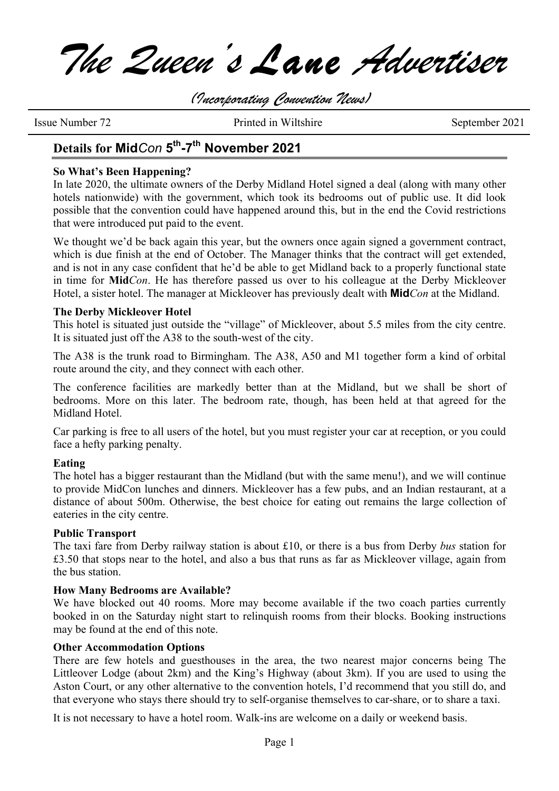*The Queen's Lane Advertiser*

*(Incorporating Convention News)*

Issue Number 72 Printed in Wiltshire September 2021

## **Details for Mid***Con* **5th-7th November 2021**

### **So What's Been Happening?**

In late 2020, the ultimate owners of the Derby Midland Hotel signed a deal (along with many other hotels nationwide) with the government, which took its bedrooms out of public use. It did look possible that the convention could have happened around this, but in the end the Covid restrictions that were introduced put paid to the event.

We thought we'd be back again this year, but the owners once again signed a government contract, which is due finish at the end of October. The Manager thinks that the contract will get extended, and is not in any case confident that he'd be able to get Midland back to a properly functional state in time for **Mid***Con*. He has therefore passed us over to his colleague at the Derby Mickleover Hotel, a sister hotel. The manager at Mickleover has previously dealt with **Mid***Con* at the Midland.

### **The Derby Mickleover Hotel**

This hotel is situated just outside the "village" of Mickleover, about 5.5 miles from the city centre. It is situated just off the A38 to the south-west of the city.

The A38 is the trunk road to Birmingham. The A38, A50 and M1 together form a kind of orbital route around the city, and they connect with each other.

The conference facilities are markedly better than at the Midland, but we shall be short of bedrooms. More on this later. The bedroom rate, though, has been held at that agreed for the Midland Hotel.

Car parking is free to all users of the hotel, but you must register your car at reception, or you could face a hefty parking penalty.

### **Eating**

The hotel has a bigger restaurant than the Midland (but with the same menu!), and we will continue to provide MidCon lunches and dinners. Mickleover has a few pubs, and an Indian restaurant, at a distance of about 500m. Otherwise, the best choice for eating out remains the large collection of eateries in the city centre.

### **Public Transport**

The taxi fare from Derby railway station is about £10, or there is a bus from Derby *bus* station for £3.50 that stops near to the hotel, and also a bus that runs as far as Mickleover village, again from the bus station.

### **How Many Bedrooms are Available?**

We have blocked out 40 rooms. More may become available if the two coach parties currently booked in on the Saturday night start to relinquish rooms from their blocks. Booking instructions may be found at the end of this note.

### **Other Accommodation Options**

There are few hotels and guesthouses in the area, the two nearest major concerns being The Littleover Lodge (about 2km) and the King's Highway (about 3km). If you are used to using the Aston Court, or any other alternative to the convention hotels, I'd recommend that you still do, and that everyone who stays there should try to self-organise themselves to car-share, or to share a taxi.

It is not necessary to have a hotel room. Walk-ins are welcome on a daily or weekend basis.